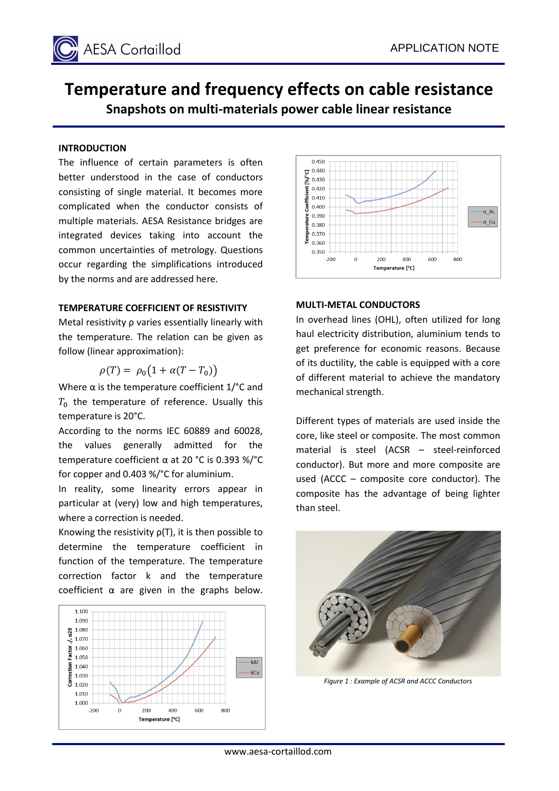

# **Temperature and frequency effects on cable resistance Snapshots on multi-materials power cable linear resistance**

## **INTRODUCTION**

The influence of certain parameters is often better understood in the case of conductors consisting of single material. It becomes more complicated when the conductor consists of multiple materials. AESA Resistance bridges are integrated devices taking into account the common uncertainties of metrology. Questions occur regarding the simplifications introduced by the norms and are addressed here.

#### **TEMPERATURE COEFFICIENT OF RESISTIVITY**

Metal resistivity ρ varies essentially linearly with the temperature. The relation can be given as follow (linear approximation):

$$
\rho(T) = \rho_0 \big( 1 + \alpha (T - T_0) \big)
$$

Where  $\alpha$  is the temperature coefficient 1/ $\degree$ C and  $T_0$  the temperature of reference. Usually this temperature is 20°C.

According to the norms IEC 60889 and 60028, the values generally admitted for the temperature coefficient α at 20 °C is 0.393 %/°C for copper and 0.403 %/°C for aluminium.

In reality, some linearity errors appear in particular at (very) low and high temperatures, where a correction is needed.

Knowing the resistivity  $p(T)$ , it is then possible to determine the temperature coefficient in function of the temperature. The temperature correction factor k and the temperature coefficient  $\alpha$  are given in the graphs below.





#### **MULTI-METAL CONDUCTORS**

In overhead lines (OHL), often utilized for long haul electricity distribution, aluminium tends to get preference for economic reasons. Because of its ductility, the cable is equipped with a core of different material to achieve the mandatory mechanical strength.

Different types of materials are used inside the core, like steel or composite. The most common material is steel (ACSR – steel-reinforced conductor). But more and more composite are used (ACCC – composite core conductor). The composite has the advantage of being lighter than steel.



*Figure 1 : Example of ACSR and ACCC Conductors*

www.aesa-cortaillod.com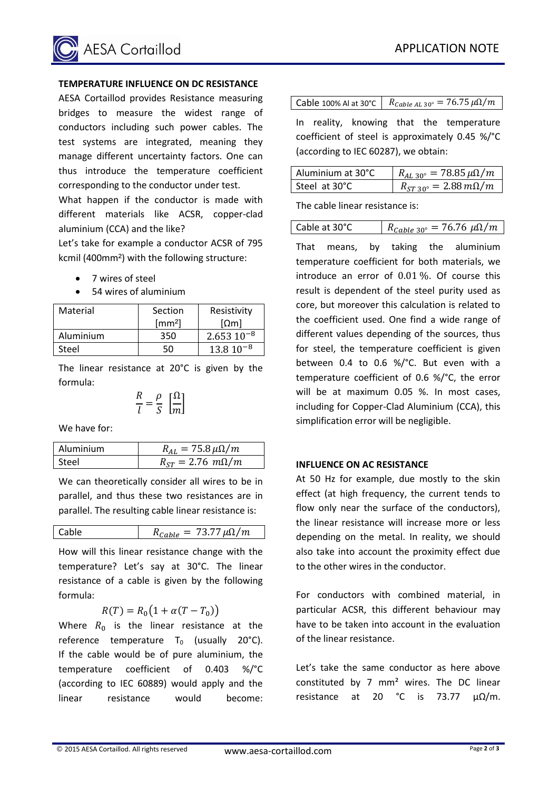

# **TEMPERATURE INFLUENCE ON DC RESISTANCE**

AESA Cortaillod provides Resistance measuring bridges to measure the widest range of conductors including such power cables. The test systems are integrated, meaning they manage different uncertainty factors. One can thus introduce the temperature coefficient corresponding to the conductor under test.

What happen if the conductor is made with different materials like ACSR, copper-clad aluminium (CCA) and the like?

Let's take for example a conductor ACSR of 795 kcmil (400mm²) with the following structure:

- 7 wires of steel
- 54 wires of aluminium

| Material  | Section              | Resistivity              |  |
|-----------|----------------------|--------------------------|--|
|           | $\lceil mm^2 \rceil$ | $\lceil \Omega m \rceil$ |  |
| Aluminium | 350                  | $2.65310^{-8}$           |  |
| Steel     | 50                   | $13.810^{-8}$            |  |

The linear resistance at 20°C is given by the formula:

$$
\frac{R}{l} = \frac{\rho}{S} \left[ \frac{\Omega}{m} \right]
$$

We have for:

| Aluminium | $R_{AI} = 75.8 \,\mu\Omega/m$ |
|-----------|-------------------------------|
| Steel     | $R_{ST} = 2.76$ $m\Omega/m$   |

We can theoretically consider all wires to be in parallel, and thus these two resistances are in parallel. The resulting cable linear resistance is:

Cable 
$$
R_{Cable} = 73.77 \,\mu\Omega/m
$$

How will this linear resistance change with the temperature? Let's say at 30°C. The linear resistance of a cable is given by the following formula:

$$
R(T) = R_0 \big( 1 + \alpha (T - T_0) \big)
$$

Where  $R_0$  is the linear resistance at the reference temperature  $T_0$  (usually 20 $^{\circ}$ C). If the cable would be of pure aluminium, the temperature coefficient of 0.403 %/°C (according to IEC 60889) would apply and the linear resistance would become:

| Cable 100% Al at 30°C $\left  R_{Cable AL 30^{\circ}} = 76.75 \,\mu\Omega/m \right $ |
|--------------------------------------------------------------------------------------|
|                                                                                      |

In reality, knowing that the temperature coefficient of steel is approximately 0.45 %/°C (according to IEC 60287), we obtain:

| Aluminium at 30°C | $R_{AL\,30^{\circ}} = 78.85 \,\mu\Omega/m$ |
|-------------------|--------------------------------------------|
| Steel at 30°C     | $R_{ST,30^{\circ}} = 2.88 \, m\Omega/m$    |

The cable linear resistance is:

|--|

That means, by taking the aluminium temperature coefficient for both materials, we introduce an error of 0.01 %. Of course this result is dependent of the steel purity used as core, but moreover this calculation is related to the coefficient used. One find a wide range of different values depending of the sources, thus for steel, the temperature coefficient is given between 0.4 to 0.6 %/°C. But even with a temperature coefficient of 0.6 %/°C, the error will be at maximum 0.05 %. In most cases, including for Copper-Clad Aluminium (CCA), this simplification error will be negligible.

## **INFLUENCE ON AC RESISTANCE**

At 50 Hz for example, due mostly to the skin effect (at high frequency, the current tends to flow only near the surface of the conductors), the linear resistance will increase more or less depending on the metal. In reality, we should also take into account the proximity effect due to the other wires in the conductor.

For conductors with combined material, in particular ACSR, this different behaviour may have to be taken into account in the evaluation of the linear resistance.

Let's take the same conductor as here above constituted by 7 mm² wires. The DC linear resistance at 20 °C is 73.77  $μΩ/m$ .